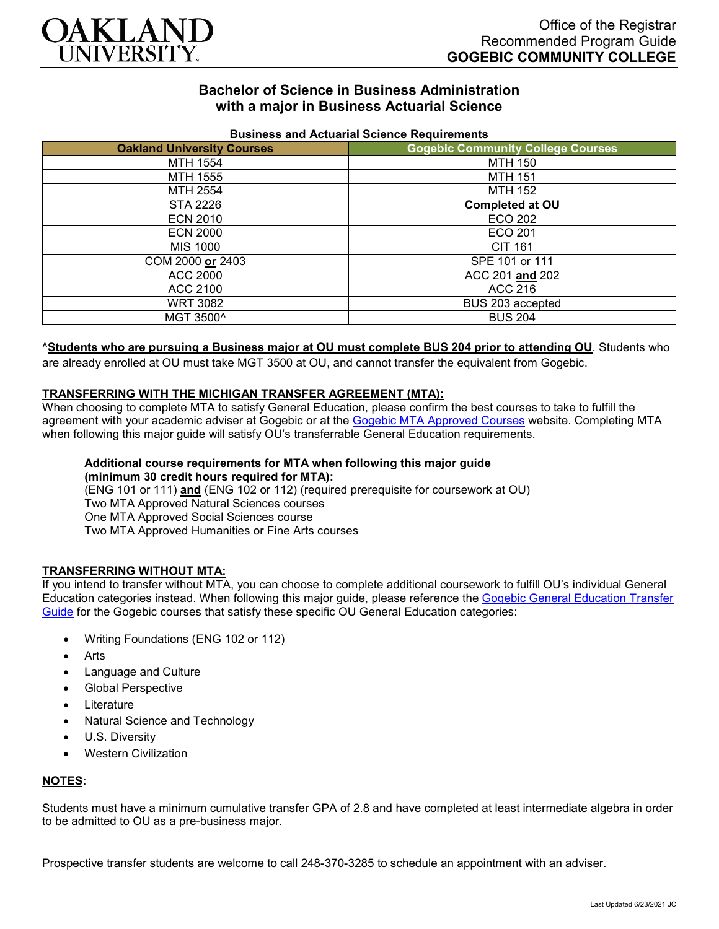

# **Bachelor of Science in Business Administration with a major in Business Actuarial Science**

| <b>DUSTILESS AIRLY ACCURATION OCIDITIES</b> INCLUDED |                                          |
|------------------------------------------------------|------------------------------------------|
| <b>Oakland University Courses</b>                    | <b>Gogebic Community College Courses</b> |
| MTH 1554                                             | <b>MTH 150</b>                           |
| MTH 1555                                             | <b>MTH 151</b>                           |
| MTH 2554                                             | <b>MTH 152</b>                           |
| STA 2226                                             | <b>Completed at OU</b>                   |
| <b>ECN 2010</b>                                      | ECO 202                                  |
| <b>ECN 2000</b>                                      | ECO 201                                  |
| MIS 1000                                             | <b>CIT 161</b>                           |
| COM 2000 or 2403                                     | SPE 101 or 111                           |
| ACC 2000                                             | ACC 201 and 202                          |
| ACC 2100                                             | ACC 216                                  |
| <b>WRT 3082</b>                                      | BUS 203 accepted                         |
| MGT 3500^                                            | <b>BUS 204</b>                           |

### **Business and Actuarial Science Requirements**

### ^**Students who are pursuing a Business major at OU must complete BUS 204 prior to attending OU**. Students who

are already enrolled at OU must take MGT 3500 at OU, and cannot transfer the equivalent from Gogebic.

### **TRANSFERRING WITH THE MICHIGAN TRANSFER AGREEMENT (MTA):**

When choosing to complete MTA to satisfy General Education, please confirm the best courses to take to fulfill the agreement with your academic adviser at Gogebic or at the [Gogebic MTA Approved Courses](https://www.gogebic.edu/Academics/transferinformation.html) website. Completing MTA when following this major guide will satisfy OU's transferrable General Education requirements.

#### **Additional course requirements for MTA when following this major guide (minimum 30 credit hours required for MTA):**

(ENG 101 or 111) **and** (ENG 102 or 112) (required prerequisite for coursework at OU) Two MTA Approved Natural Sciences courses One MTA Approved Social Sciences course Two MTA Approved Humanities or Fine Arts courses

### **TRANSFERRING WITHOUT MTA:**

If you intend to transfer without MTA, you can choose to complete additional coursework to fulfill OU's individual General Education categories instead. When following this major guide, please reference the [Gogebic General Education Transfer](https://www.oakland.edu/Assets/Oakland/program-guides/gogebic-community-college/university-general-education-requirements/Gogebic%20Gen%20Ed.pdf)  [Guide](https://www.oakland.edu/Assets/Oakland/program-guides/gogebic-community-college/university-general-education-requirements/Gogebic%20Gen%20Ed.pdf) for the Gogebic courses that satisfy these specific OU General Education categories:

- Writing Foundations (ENG 102 or 112)
- **Arts**
- Language and Culture
- Global Perspective
- **Literature**
- Natural Science and Technology
- U.S. Diversity
- Western Civilization

### **NOTES:**

Students must have a minimum cumulative transfer GPA of 2.8 and have completed at least intermediate algebra in order to be admitted to OU as a pre-business major.

Prospective transfer students are welcome to call 248-370-3285 to schedule an appointment with an adviser.